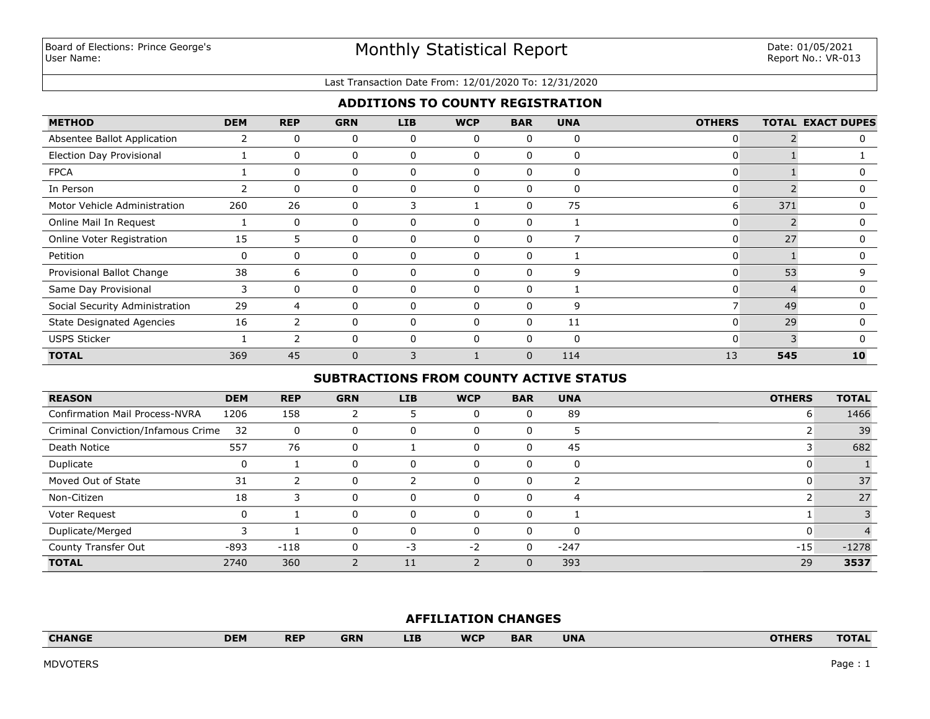#### Last Transaction Date From: 12/01/2020 To: 12/31/2020

# **ADDITIONS TO COUNTY REGISTRATION**

| <b>METHOD</b>                    | <b>DEM</b> | <b>REP</b> | <b>GRN</b> | <b>LIB</b> | <b>WCP</b> | <b>BAR</b> | <b>UNA</b>   | <b>OTHERS</b> |     | <b>TOTAL EXACT DUPES</b> |
|----------------------------------|------------|------------|------------|------------|------------|------------|--------------|---------------|-----|--------------------------|
| Absentee Ballot Application      |            | $\Omega$   | 0          | 0          | $\Omega$   | 0          | $\mathbf 0$  | 0             |     | n                        |
| <b>Election Day Provisional</b>  |            | $\Omega$   | 0          | 0          | 0          | 0          | 0            | 0             |     |                          |
| <b>FPCA</b>                      |            | $\Omega$   | 0          | 0          | $\Omega$   | 0          | $\mathbf{0}$ | 0             |     |                          |
| In Person                        |            | $\Omega$   | 0          | 0          | 0          | 0          | 0            | ი             |     | 0                        |
| Motor Vehicle Administration     | 260        | 26         | 0          | 3          |            | 0          | 75           | 6             | 371 |                          |
| Online Mail In Request           |            | $\Omega$   | 0          | 0          | $\Omega$   | 0          |              |               |     | n                        |
| Online Voter Registration        | 15         | 5          | 0          | 0          |            | 0          |              | 0             | 27  |                          |
| Petition                         | 0          | 0          | 0          | 0          | 0          | 0          |              | 0             |     | n                        |
| Provisional Ballot Change        | 38         | 6          | 0          | 0          |            | 0          | 9            | 0             | 53  | q                        |
| Same Day Provisional             | 3          | $\Omega$   | 0          | 0          | $\Omega$   | 0          |              | 0             |     | n                        |
| Social Security Administration   | 29         | 4          | 0          | $\Omega$   |            | $\Omega$   | 9            |               | 49  |                          |
| <b>State Designated Agencies</b> | 16         | 2          | 0          | $\Omega$   | $\Omega$   | 0          | 11           | 0             | 29  | <sup>0</sup>             |
| <b>USPS Sticker</b>              |            |            | ი          | $\Omega$   |            | $\Omega$   | 0            | $\Omega$      |     |                          |
| <b>TOTAL</b>                     | 369        | 45         | $\Omega$   | κ          |            | $\Omega$   | 114          | 13            | 545 | 10                       |

## **SUBTRACTIONS FROM COUNTY ACTIVE STATUS**

| <b>REASON</b>                         | <b>DEM</b> | <b>REP</b> | <b>GRN</b> | <b>LIB</b> | <b>WCP</b> | <b>BAR</b> | <b>UNA</b> | <b>OTHERS</b> | <b>TOTAL</b> |
|---------------------------------------|------------|------------|------------|------------|------------|------------|------------|---------------|--------------|
| <b>Confirmation Mail Process-NVRA</b> | 1206       | 158        |            |            | $\Omega$   |            | 89         | 6             | 1466         |
| Criminal Conviction/Infamous Crime    | 32         | 0          | 0          | 0          | 0          | U          |            |               | 39           |
| Death Notice                          | 557        | 76         | 0          |            | $\Omega$   | 0          | 45         |               | 682          |
| Duplicate                             |            |            | 0          | 0          | $\Omega$   | 0          | 0          | 0             |              |
| Moved Out of State                    | 31         |            | 0          |            | $\Omega$   | 0          |            | 0             | 37           |
| Non-Citizen                           | 18         | 3          | 0          | 0          | $\Omega$   | 0          | 4          |               | 27           |
| Voter Request                         |            |            | 0          | 0          | $\Omega$   | 0          |            |               |              |
| Duplicate/Merged                      |            |            | 0          | $\Omega$   | $\Omega$   |            | $\Omega$   | O             |              |
| County Transfer Out                   | $-893$     | $-118$     | 0          | -3         | $-2$       | 0          | $-247$     | $-15$         | $-1278$      |
| <b>TOTAL</b>                          | 2740       | 360        |            | 11         |            | U          | 393        | 29            | 3537         |

## **AFFILIATION CHANGES**

| <b>CHANGE</b>   | <b>DEM</b> | <b>REP</b> | <b>GRN</b> | <b>LIB</b> | <b>WCP</b> | <b>BAR</b> | <b>UNA</b> | <b>OTHERS</b> | <b>TOTAL</b> |
|-----------------|------------|------------|------------|------------|------------|------------|------------|---------------|--------------|
|                 |            |            |            |            |            |            |            |               |              |
| <b>MDVOTERS</b> |            |            |            |            |            |            |            |               | Page : 1     |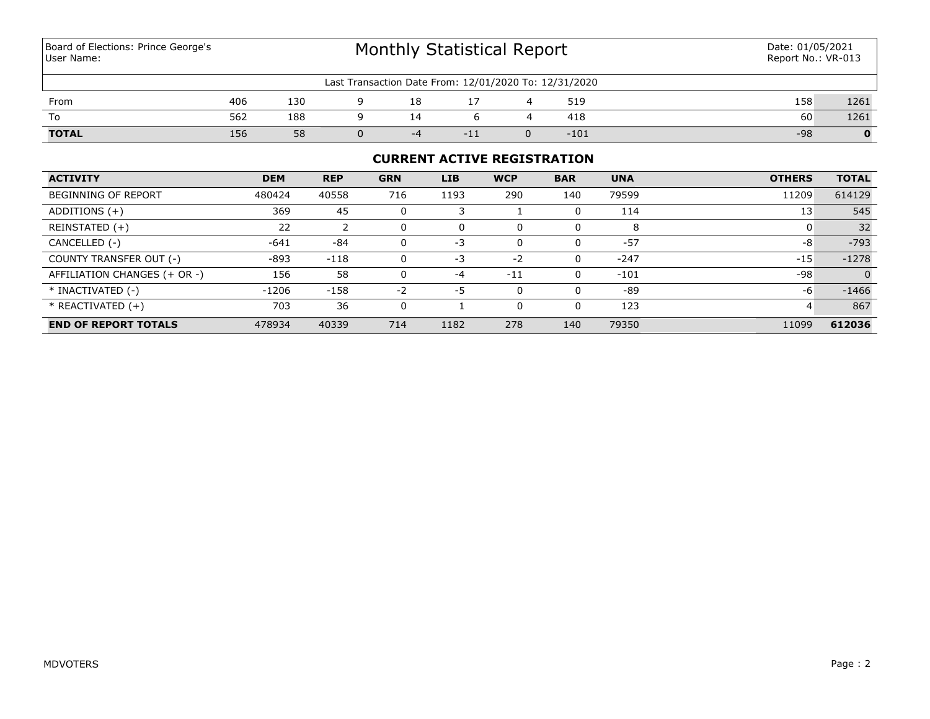Board of Elections: Prince George's User Name:

# Monthly Statistical Report

| Last Transaction Date From: 12/01/2020 To: 12/31/2020 |     |     |  |          |     |  |        |       |      |  |  |  |
|-------------------------------------------------------|-----|-----|--|----------|-----|--|--------|-------|------|--|--|--|
| From                                                  | 406 | 130 |  |          |     |  | 519    | 158   | 1261 |  |  |  |
| To                                                    | 562 | 188 |  |          |     |  | 418    | 60    | 1261 |  |  |  |
| <b>TOTAL</b>                                          | 156 | 58  |  | $\sim$ 1 | πTΣ |  | $-101$ | $-98$ |      |  |  |  |

# **CURRENT ACTIVE REGISTRATION**

| <b>ACTIVITY</b>              | <b>DEM</b> | <b>REP</b> | <b>GRN</b> | <b>LIB</b> | <b>WCP</b> | <b>BAR</b> | <b>UNA</b> | <b>OTHERS</b> | <b>TOTAL</b> |
|------------------------------|------------|------------|------------|------------|------------|------------|------------|---------------|--------------|
| BEGINNING OF REPORT          | 480424     | 40558      | 716        | 1193       | 290        | 140        | 79599      | 11209         | 614129       |
| ADDITIONS $(+)$              | 369        | 45         |            |            |            | 0          | 114        | 13            | 545          |
| REINSTATED (+)               | 22         |            |            | 0          | 0          | 0          | 8          |               | 32           |
| CANCELLED (-)                | $-641$     | -84        |            | $-3$       | $\Omega$   | 0          | $-57$      | -8            | $-793$       |
| COUNTY TRANSFER OUT (-)      | $-893$     | $-118$     |            | $-3$       | $-2$       | 0          | $-247$     | $-15$         | $-1278$      |
| AFFILIATION CHANGES (+ OR -) | 156        | 58         |            | $-4$       | $-11$      | 0          | $-101$     | -98           | $\Omega$     |
| * INACTIVATED (-)            | $-1206$    | $-158$     | $-2$       | -5         | 0          | 0          | -89        | -6            | $-1466$      |
| * REACTIVATED (+)            | 703        | 36         |            |            | 0          | 0          | 123        | 4             | 867          |
| <b>END OF REPORT TOTALS</b>  | 478934     | 40339      | 714        | 1182       | 278        | 140        | 79350      | 11099         | 612036       |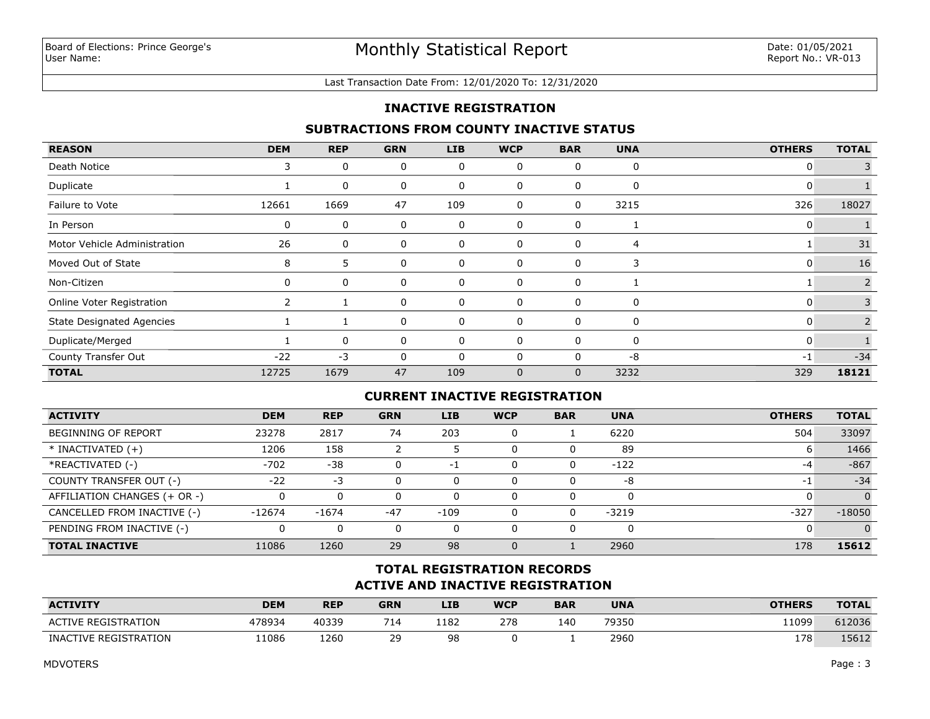#### Last Transaction Date From: 12/01/2020 To: 12/31/2020

## **INACTIVE REGISTRATION**

## **SUBTRACTIONS FROM COUNTY INACTIVE STATUS**

| <b>REASON</b>                    | <b>DEM</b> | <b>REP</b>   | <b>GRN</b> | <b>LIB</b> | <b>WCP</b>  | <b>BAR</b>   | <b>UNA</b> | <b>OTHERS</b> | <b>TOTAL</b> |
|----------------------------------|------------|--------------|------------|------------|-------------|--------------|------------|---------------|--------------|
| Death Notice                     | 3          | 0            | 0          | 0          | 0           | 0            | 0          | 0             |              |
| Duplicate                        |            | 0            | 0          | 0          | 0           | 0            | 0          | 0             |              |
| Failure to Vote                  | 12661      | 1669         | 47         | 109        | 0           | 0            | 3215       | 326           | 18027        |
| In Person                        | 0          | 0            | 0          | 0          | 0           | 0            |            | 0             |              |
| Motor Vehicle Administration     | 26         | 0            | 0          | 0          | 0           | 0            | 4          |               | 31           |
| Moved Out of State               | 8          | 5            | 0          | 0          | 0           | 0            | 3          | 0             | 16           |
| Non-Citizen                      | 0          | 0            | 0          | 0          | 0           | 0            |            |               | 2            |
| Online Voter Registration        |            |              | 0          | 0          | 0           | 0            | 0          | 0             | 3            |
| <b>State Designated Agencies</b> |            |              | 0          | 0          | 0           | 0            | 0          | 0             | 2            |
| Duplicate/Merged                 |            | $\mathbf{0}$ | 0          | $\Omega$   | $\Omega$    | $\Omega$     | 0          | $\Omega$      |              |
| County Transfer Out              | $-22$      | $-3$         | 0          | 0          | 0           | 0            | -8         | $-1$          | $-34$        |
| <b>TOTAL</b>                     | 12725      | 1679         | 47         | 109        | $\mathbf 0$ | $\mathbf{0}$ | 3232       | 329           | 18121        |

## **CURRENT INACTIVE REGISTRATION**

| <b>ACTIVITY</b>              | <b>DEM</b> | <b>REP</b> | <b>GRN</b> | <b>LIB</b> | <b>WCP</b> | <b>BAR</b> | <b>UNA</b> | <b>OTHERS</b> | <b>TOTAL</b> |
|------------------------------|------------|------------|------------|------------|------------|------------|------------|---------------|--------------|
| <b>BEGINNING OF REPORT</b>   | 23278      | 2817       | 74         | 203        | 0          |            | 6220       | 504           | 33097        |
| $*$ INACTIVATED $(+)$        | 1206       | 158        |            |            | 0          | 0          | 89         | n             | 1466         |
| *REACTIVATED (-)             | $-702$     | $-38$      |            | $-1$       | 0          | 0          | $-122$     | -4            | $-867$       |
| COUNTY TRANSFER OUT (-)      | $-22$      | -3         |            |            | 0          | 0          | -8         | $-1$          | $-34$        |
| AFFILIATION CHANGES (+ OR -) |            | 0          |            |            | 0          | $\Omega$   |            |               | $\Omega$     |
| CANCELLED FROM INACTIVE (-)  | $-12674$   | $-1674$    | $-47$      | $-109$     | 0          | 0          | $-3219$    | $-327$        | $-18050$     |
| PENDING FROM INACTIVE (-)    |            | 0          |            |            | 0          | $\Omega$   | 0          |               | $\Omega$     |
| <b>TOTAL INACTIVE</b>        | 11086      | 1260       | 29         | 98         | $\Omega$   |            | 2960       | 178           | 15612        |

# **ACTIVE AND INACTIVE REGISTRATION TOTAL REGISTRATION RECORDS**

| <b>ACTIVITY</b>            | <b>DEM</b> | <b>REP</b> | <b>GRN</b> | LIB     | <b>WCP</b> | <b>BAR</b> | <b>UNA</b> | <b>OTHERS</b> | <b>TOTAL</b> |
|----------------------------|------------|------------|------------|---------|------------|------------|------------|---------------|--------------|
| <b>ACTIVE REGISTRATION</b> | 478934     | 40339      | 714        | 1182    | 278        | 140        | 79350      | 11099         | 612036       |
| INACTIVE REGISTRATION      | 11086      | 1260       | つロ<br>ر ے  | 98<br>◡ |            |            | 2960       | 178           | 15612        |